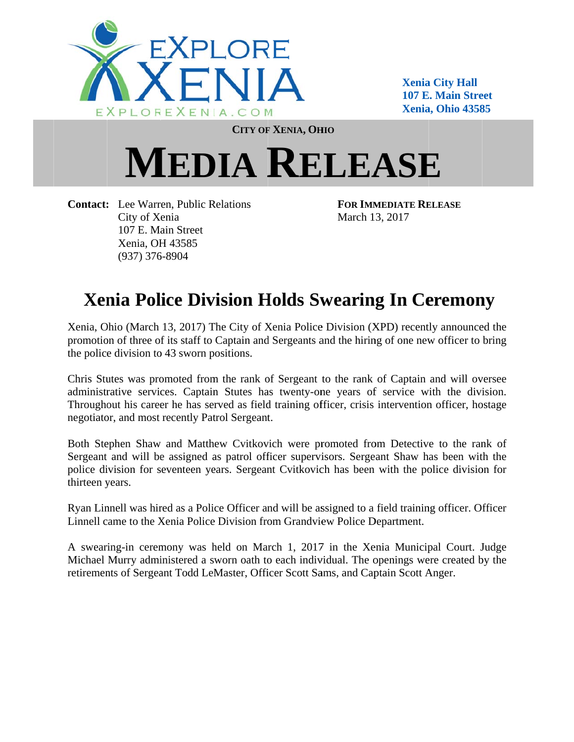

**Xenia a City Hall 107 E. Main Street Xenia a, Ohio 4358 85** 

**CITY OF F XENIA, OH HIO**

## $MEDIA$  **RELEASE**

Contact: Lee Warren, Public Relations City of X enia 107 E. Ma ain Street Xenia, OH H 43585 (937) 376 6-8904

**FOR IMM MEDIATE RE ELEASE** March 1 3, 2017

## **Xenia Police Division Holds Swearing In Ceremony**

Xenia, Ohio (March 13, 2017) The City of Xenia Police Division (XPD) recently announced the promotion of three of its staff to Captain and Sergeants and the hiring of one new officer to bring the police division to 43 sworn positions.

Chris Stutes was promoted from the rank of Sergeant to the rank of Captain and will oversee administrative services. Captain Stutes has twenty-one years of service with the division. Throughout his career he has served as field training officer, crisis intervention officer, hostage negotiator, and most recently Patrol Sergeant.

Both Stephen Shaw and Matthew Cvitkovich were promoted from Detective to the rank of Sergeant and will be assigned as patrol officer supervisors. Sergeant Shaw has been with the police division for seventeen years. Sergeant Cvitkovich has been with the police division for thirteen years.

Ryan Linnell was hired as a Police Officer and will be assigned to a field training officer. Officer Linnell came to the Xenia Police Division from Grandview Police Department.

A swearing-in ceremony was held on March 1, 2017 in the Xenia Municipal Court. Judge Michael Murry administered a sworn oath to each individual. The openings were created by the retirements of Sergeant Todd LeMaster, Officer Scott Sams, and Captain Scott Anger.